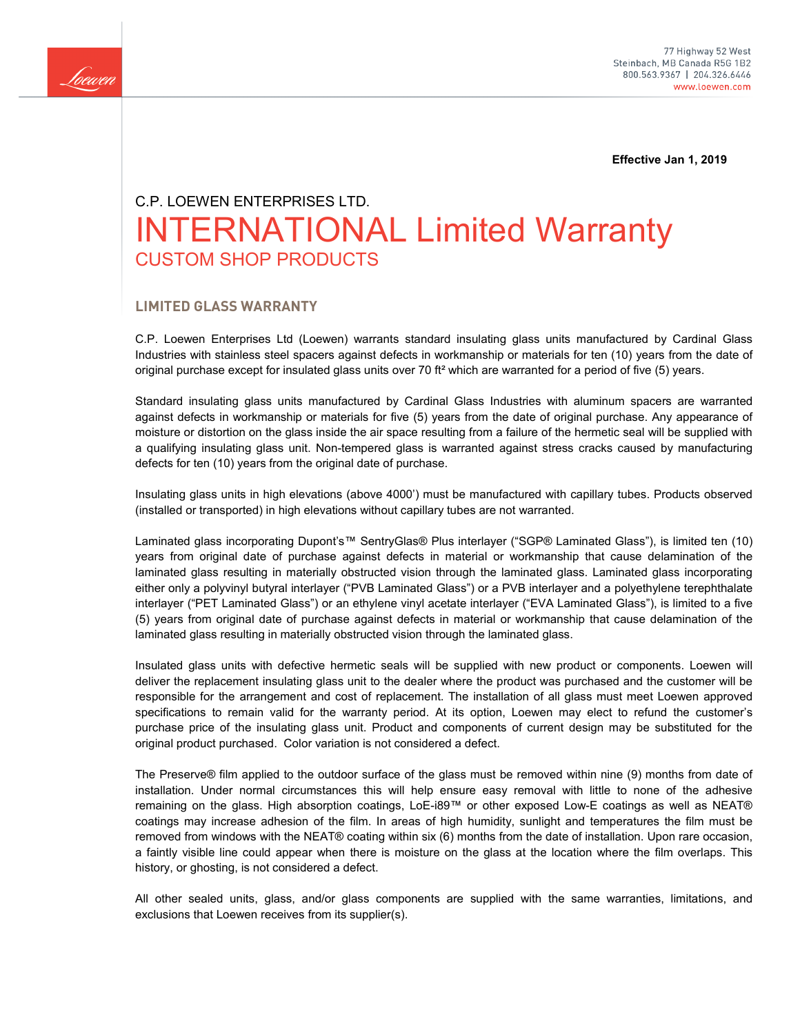

 **Effective Jan 1, 2019**

# C.P. LOEWEN ENTERPRISES LTD. INTERNATIONAL Limited Warranty CUSTOM SHOP PRODUCTS

## **LIMITED GLASS WARRANTY**

C.P. Loewen Enterprises Ltd (Loewen) warrants standard insulating glass units manufactured by Cardinal Glass Industries with stainless steel spacers against defects in workmanship or materials for ten (10) years from the date of original purchase except for insulated glass units over 70 ft<sup>2</sup> which are warranted for a period of five (5) years.

Standard insulating glass units manufactured by Cardinal Glass Industries with aluminum spacers are warranted against defects in workmanship or materials for five (5) years from the date of original purchase. Any appearance of moisture or distortion on the glass inside the air space resulting from a failure of the hermetic seal will be supplied with a qualifying insulating glass unit. Non-tempered glass is warranted against stress cracks caused by manufacturing defects for ten (10) years from the original date of purchase.

Insulating glass units in high elevations (above 4000') must be manufactured with capillary tubes. Products observed (installed or transported) in high elevations without capillary tubes are not warranted.

Laminated glass incorporating Dupont's™ SentryGlas® Plus interlayer ("SGP® Laminated Glass"), is limited ten (10) years from original date of purchase against defects in material or workmanship that cause delamination of the laminated glass resulting in materially obstructed vision through the laminated glass. Laminated glass incorporating either only a polyvinyl butyral interlayer ("PVB Laminated Glass") or a PVB interlayer and a polyethylene terephthalate interlayer ("PET Laminated Glass") or an ethylene vinyl acetate interlayer ("EVA Laminated Glass"), is limited to a five (5) years from original date of purchase against defects in material or workmanship that cause delamination of the laminated glass resulting in materially obstructed vision through the laminated glass.

Insulated glass units with defective hermetic seals will be supplied with new product or components. Loewen will deliver the replacement insulating glass unit to the dealer where the product was purchased and the customer will be responsible for the arrangement and cost of replacement. The installation of all glass must meet Loewen approved specifications to remain valid for the warranty period. At its option, Loewen may elect to refund the customer's purchase price of the insulating glass unit. Product and components of current design may be substituted for the original product purchased. Color variation is not considered a defect.

The Preserve® film applied to the outdoor surface of the glass must be removed within nine (9) months from date of installation. Under normal circumstances this will help ensure easy removal with little to none of the adhesive remaining on the glass. High absorption coatings, LoE-i89™ or other exposed Low-E coatings as well as NEAT® coatings may increase adhesion of the film. In areas of high humidity, sunlight and temperatures the film must be removed from windows with the NEAT® coating within six (6) months from the date of installation. Upon rare occasion, a faintly visible line could appear when there is moisture on the glass at the location where the film overlaps. This history, or ghosting, is not considered a defect.

All other sealed units, glass, and/or glass components are supplied with the same warranties, limitations, and exclusions that Loewen receives from its supplier(s).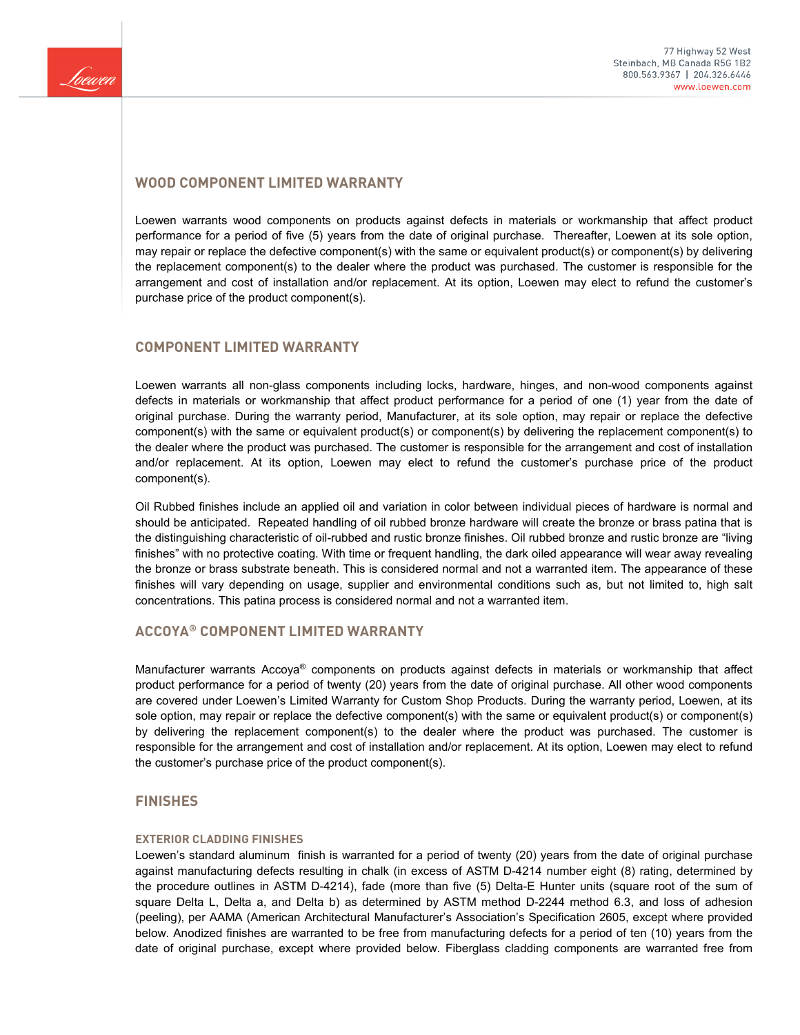

# **WOOD COMPONENT LIMITED WARRANTY**

Loewen warrants wood components on products against defects in materials or workmanship that affect product performance for a period of five (5) years from the date of original purchase. Thereafter, Loewen at its sole option, may repair or replace the defective component(s) with the same or equivalent product(s) or component(s) by delivering the replacement component(s) to the dealer where the product was purchased. The customer is responsible for the arrangement and cost of installation and/or replacement. At its option, Loewen may elect to refund the customer's purchase price of the product component(s).

## **COMPONENT LIMITED WARRANTY**

Loewen warrants all non-glass components including locks, hardware, hinges, and non-wood components against defects in materials or workmanship that affect product performance for a period of one (1) year from the date of original purchase. During the warranty period, Manufacturer, at its sole option, may repair or replace the defective component(s) with the same or equivalent product(s) or component(s) by delivering the replacement component(s) to the dealer where the product was purchased. The customer is responsible for the arrangement and cost of installation and/or replacement. At its option, Loewen may elect to refund the customer's purchase price of the product component(s).

Oil Rubbed finishes include an applied oil and variation in color between individual pieces of hardware is normal and should be anticipated. Repeated handling of oil rubbed bronze hardware will create the bronze or brass patina that is the distinguishing characteristic of oil-rubbed and rustic bronze finishes. Oil rubbed bronze and rustic bronze are "living finishes" with no protective coating. With time or frequent handling, the dark oiled appearance will wear away revealing the bronze or brass substrate beneath. This is considered normal and not a warranted item. The appearance of these finishes will vary depending on usage, supplier and environmental conditions such as, but not limited to, high salt concentrations. This patina process is considered normal and not a warranted item.

# **ACCOYA® COMPONENT LIMITED WARRANTY**

Manufacturer warrants Accoya® components on products against defects in materials or workmanship that affect product performance for a period of twenty (20) years from the date of original purchase. All other wood components are covered under Loewen's Limited Warranty for Custom Shop Products. During the warranty period, Loewen, at its sole option, may repair or replace the defective component(s) with the same or equivalent product(s) or component(s) by delivering the replacement component(s) to the dealer where the product was purchased. The customer is responsible for the arrangement and cost of installation and/or replacement. At its option, Loewen may elect to refund the customer's purchase price of the product component(s).

## **FINISHES**

#### **EXTERIOR CLADDING FINISHES**

Loewen's standard aluminum finish is warranted for a period of twenty (20) years from the date of original purchase against manufacturing defects resulting in chalk (in excess of ASTM D-4214 number eight (8) rating, determined by the procedure outlines in ASTM D-4214), fade (more than five (5) Delta-E Hunter units (square root of the sum of square Delta L, Delta a, and Delta b) as determined by ASTM method D-2244 method 6.3, and loss of adhesion (peeling), per AAMA (American Architectural Manufacturer's Association's Specification 2605, except where provided below. Anodized finishes are warranted to be free from manufacturing defects for a period of ten (10) years from the date of original purchase, except where provided below. Fiberglass cladding components are warranted free from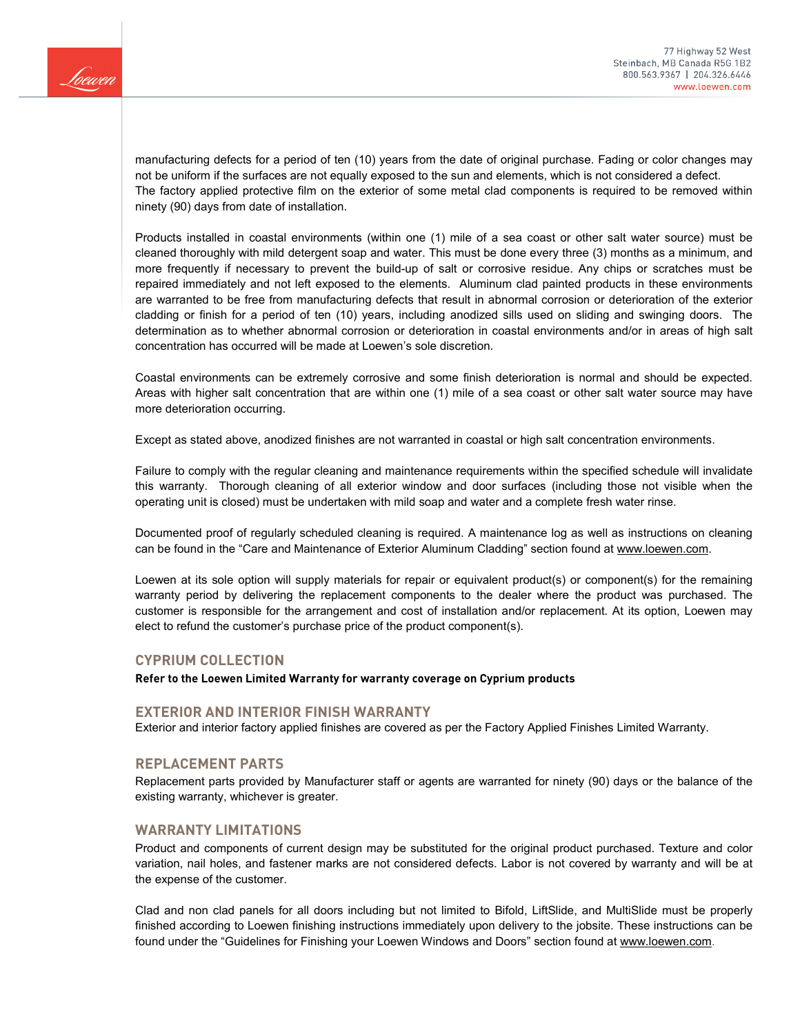

manufacturing defects for a period of ten (10) years from the date of original purchase. Fading or color changes may not be uniform if the surfaces are not equally exposed to the sun and elements, which is not considered a defect. The factory applied protective film on the exterior of some metal clad components is required to be removed within ninety (90) days from date of installation.

Products installed in coastal environments (within one (1) mile of a sea coast or other salt water source) must be cleaned thoroughly with mild detergent soap and water. This must be done every three (3) months as a minimum, and more frequently if necessary to prevent the build-up of salt or corrosive residue. Any chips or scratches must be repaired immediately and not left exposed to the elements. Aluminum clad painted products in these environments are warranted to be free from manufacturing defects that result in abnormal corrosion or deterioration of the exterior cladding or finish for a period of ten (10) years, including anodized sills used on sliding and swinging doors. The determination as to whether abnormal corrosion or deterioration in coastal environments and/or in areas of high salt concentration has occurred will be made at Loewen's sole discretion.

Coastal environments can be extremely corrosive and some finish deterioration is normal and should be expected. Areas with higher salt concentration that are within one (1) mile of a sea coast or other salt water source may have more deterioration occurring.

Except as stated above, anodized finishes are not warranted in coastal or high salt concentration environments.

Failure to comply with the regular cleaning and maintenance requirements within the specified schedule will invalidate this warranty. Thorough cleaning of all exterior window and door surfaces (including those not visible when the operating unit is closed) must be undertaken with mild soap and water and a complete fresh water rinse.

Documented proof of regularly scheduled cleaning is required. A maintenance log as well as instructions on cleaning can be found in the "Care and Maintenance of Exterior Aluminum Cladding" section found at [www.loewen.com.](http://www.loewen.com/)

Loewen at its sole option will supply materials for repair or equivalent product(s) or component(s) for the remaining warranty period by delivering the replacement components to the dealer where the product was purchased. The customer is responsible for the arrangement and cost of installation and/or replacement. At its option, Loewen may elect to refund the customer's purchase price of the product component(s).

## **CYPRIUM COLLECTION**

**Refer to the Loewen Limited Warranty for warranty coverage on Cyprium products**

#### **EXTERIOR AND INTERIOR FINISH WARRANTY**

Exterior and interior factory applied finishes are covered as per the Factory Applied Finishes Limited Warranty.

## **REPLACEMENT PARTS**

Replacement parts provided by Manufacturer staff or agents are warranted for ninety (90) days or the balance of the existing warranty, whichever is greater.

## **WARRANTY LIMITATIONS**

Product and components of current design may be substituted for the original product purchased. Texture and color variation, nail holes, and fastener marks are not considered defects. Labor is not covered by warranty and will be at the expense of the customer.

Clad and non clad panels for all doors including but not limited to Bifold, LiftSlide, and MultiSlide must be properly finished according to Loewen finishing instructions immediately upon delivery to the jobsite. These instructions can be found under the "Guidelines for Finishing your Loewen Windows and Doors" section found a[t www.loewen.com.](http://www.loewen.com/)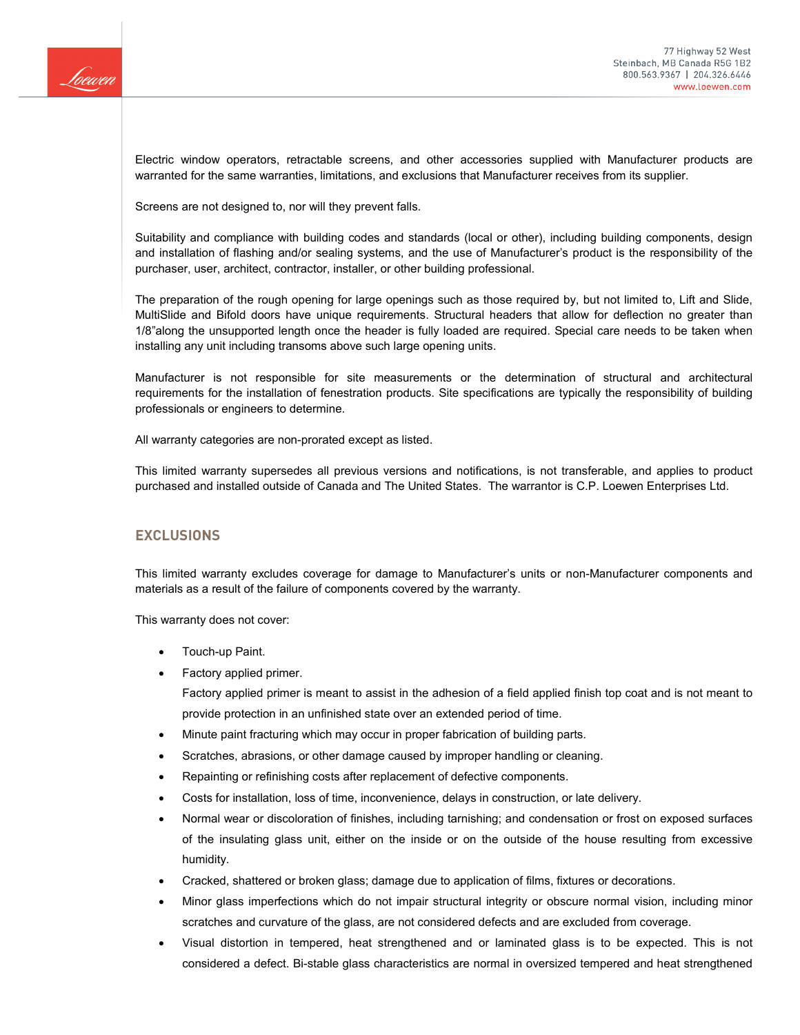

Electric window operators, retractable screens, and other accessories supplied with Manufacturer products are warranted for the same warranties, limitations, and exclusions that Manufacturer receives from its supplier.

Screens are not designed to, nor will they prevent falls.

Suitability and compliance with building codes and standards (local or other), including building components, design and installation of flashing and/or sealing systems, and the use of Manufacturer's product is the responsibility of the purchaser, user, architect, contractor, installer, or other building professional.

The preparation of the rough opening for large openings such as those required by, but not limited to, Lift and Slide, MultiSlide and Bifold doors have unique requirements. Structural headers that allow for deflection no greater than 1/8"along the unsupported length once the header is fully loaded are required. Special care needs to be taken when installing any unit including transoms above such large opening units.

Manufacturer is not responsible for site measurements or the determination of structural and architectural requirements for the installation of fenestration products. Site specifications are typically the responsibility of building professionals or engineers to determine.

All warranty categories are non-prorated except as listed.

This limited warranty supersedes all previous versions and notifications, is not transferable, and applies to product purchased and installed outside of Canada and The United States. The warrantor is C.P. Loewen Enterprises Ltd.

## **EXCLUSIONS**

This limited warranty excludes coverage for damage to Manufacturer's units or non-Manufacturer components and materials as a result of the failure of components covered by the warranty.

This warranty does not cover:

- Touch-up Paint.
- Factory applied primer.

Factory applied primer is meant to assist in the adhesion of a field applied finish top coat and is not meant to provide protection in an unfinished state over an extended period of time.

- Minute paint fracturing which may occur in proper fabrication of building parts.
- Scratches, abrasions, or other damage caused by improper handling or cleaning.
- Repainting or refinishing costs after replacement of defective components.
- Costs for installation, loss of time, inconvenience, delays in construction, or late delivery.
- Normal wear or discoloration of finishes, including tarnishing; and condensation or frost on exposed surfaces of the insulating glass unit, either on the inside or on the outside of the house resulting from excessive humidity.
- Cracked, shattered or broken glass; damage due to application of films, fixtures or decorations.
- Minor glass imperfections which do not impair structural integrity or obscure normal vision, including minor scratches and curvature of the glass, are not considered defects and are excluded from coverage.
- Visual distortion in tempered, heat strengthened and or laminated glass is to be expected. This is not considered a defect. Bi-stable glass characteristics are normal in oversized tempered and heat strengthened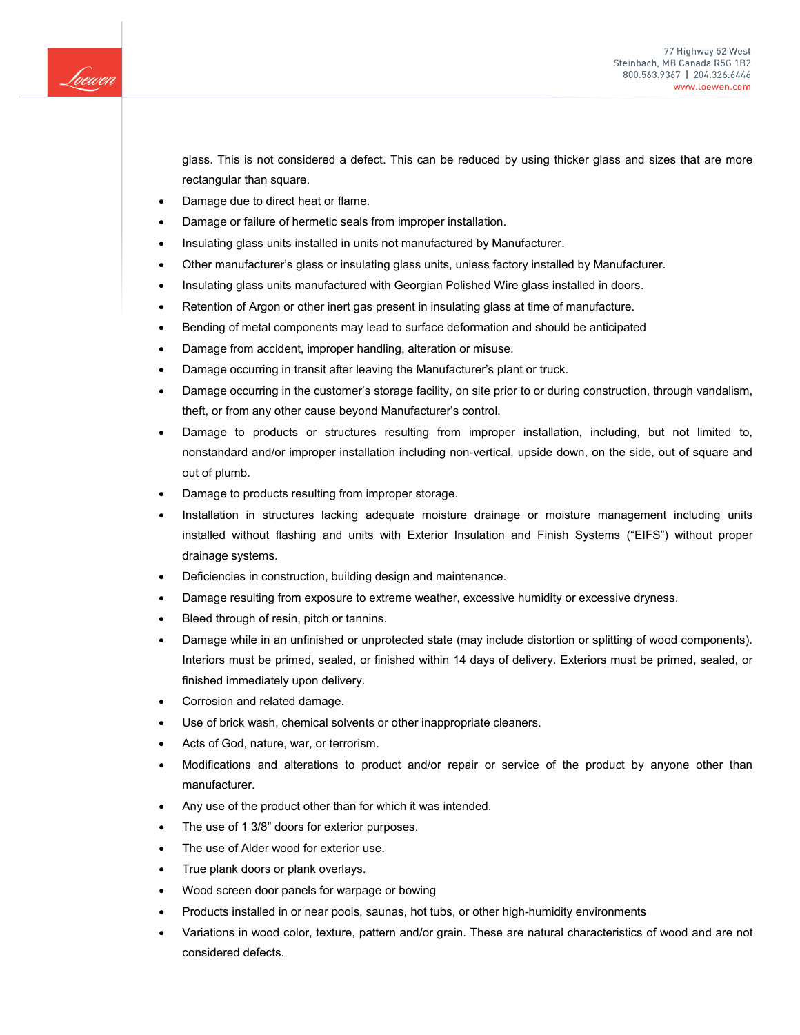

77 Highway 52 West Steinbach, MB Canada R5G 1B2 800.563.9367 | 204.326.6446 www.loewen.com

glass. This is not considered a defect. This can be reduced by using thicker glass and sizes that are more rectangular than square.

- Damage due to direct heat or flame.
- Damage or failure of hermetic seals from improper installation.
- Insulating glass units installed in units not manufactured by Manufacturer.
- Other manufacturer's glass or insulating glass units, unless factory installed by Manufacturer.
- Insulating glass units manufactured with Georgian Polished Wire glass installed in doors.
- Retention of Argon or other inert gas present in insulating glass at time of manufacture.
- Bending of metal components may lead to surface deformation and should be anticipated
- Damage from accident, improper handling, alteration or misuse.
- Damage occurring in transit after leaving the Manufacturer's plant or truck.
- Damage occurring in the customer's storage facility, on site prior to or during construction, through vandalism, theft, or from any other cause beyond Manufacturer's control.
- Damage to products or structures resulting from improper installation, including, but not limited to, nonstandard and/or improper installation including non-vertical, upside down, on the side, out of square and out of plumb.
- Damage to products resulting from improper storage.
- Installation in structures lacking adequate moisture drainage or moisture management including units installed without flashing and units with Exterior Insulation and Finish Systems ("EIFS") without proper drainage systems.
- Deficiencies in construction, building design and maintenance.
- Damage resulting from exposure to extreme weather, excessive humidity or excessive dryness.
- Bleed through of resin, pitch or tannins.
- Damage while in an unfinished or unprotected state (may include distortion or splitting of wood components). Interiors must be primed, sealed, or finished within 14 days of delivery. Exteriors must be primed, sealed, or finished immediately upon delivery.
- Corrosion and related damage.
- Use of brick wash, chemical solvents or other inappropriate cleaners.
- Acts of God, nature, war, or terrorism.
- Modifications and alterations to product and/or repair or service of the product by anyone other than manufacturer.
- Any use of the product other than for which it was intended.
- The use of 1 3/8" doors for exterior purposes.
- The use of Alder wood for exterior use.
- True plank doors or plank overlays.
- Wood screen door panels for warpage or bowing
- Products installed in or near pools, saunas, hot tubs, or other high-humidity environments
- Variations in wood color, texture, pattern and/or grain. These are natural characteristics of wood and are not considered defects.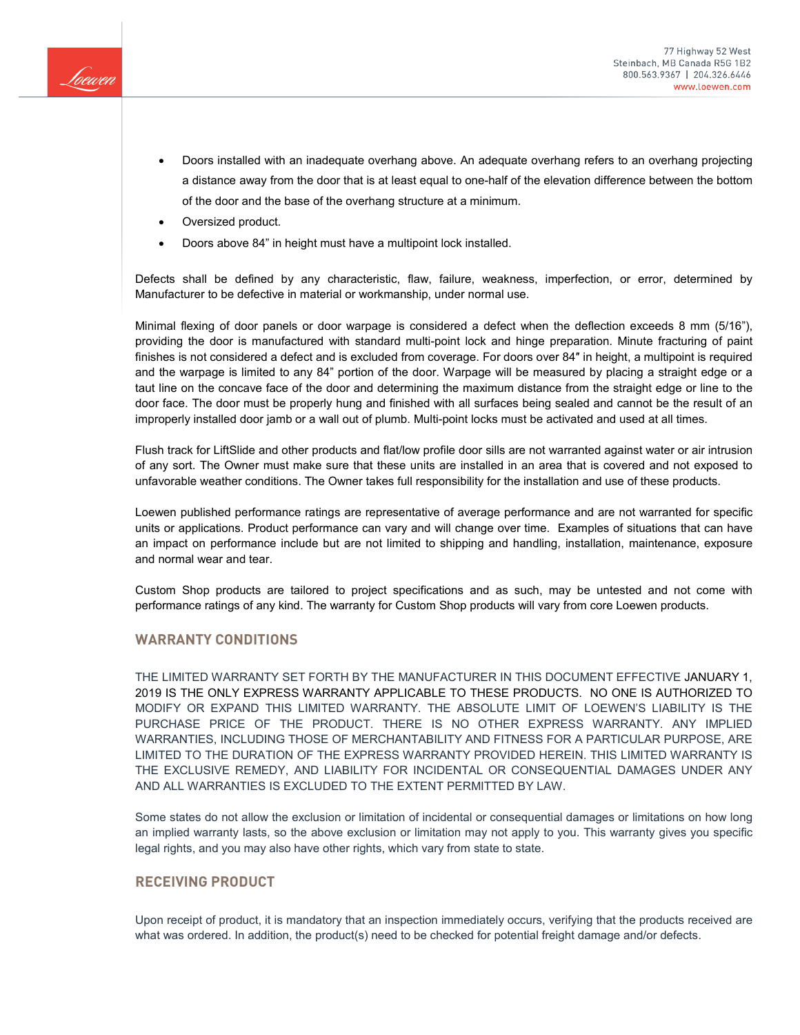

- Doors installed with an inadequate overhang above. An adequate overhang refers to an overhang projecting a distance away from the door that is at least equal to one-half of the elevation difference between the bottom of the door and the base of the overhang structure at a minimum.
- Oversized product.
- Doors above 84" in height must have a multipoint lock installed.

Defects shall be defined by any characteristic, flaw, failure, weakness, imperfection, or error, determined by Manufacturer to be defective in material or workmanship, under normal use.

Minimal flexing of door panels or door warpage is considered a defect when the deflection exceeds 8 mm (5/16"), providing the door is manufactured with standard multi-point lock and hinge preparation. Minute fracturing of paint finishes is not considered a defect and is excluded from coverage. For doors over 84″ in height, a multipoint is required and the warpage is limited to any 84" portion of the door. Warpage will be measured by placing a straight edge or a taut line on the concave face of the door and determining the maximum distance from the straight edge or line to the door face. The door must be properly hung and finished with all surfaces being sealed and cannot be the result of an improperly installed door jamb or a wall out of plumb. Multi-point locks must be activated and used at all times.

Flush track for LiftSlide and other products and flat/low profile door sills are not warranted against water or air intrusion of any sort. The Owner must make sure that these units are installed in an area that is covered and not exposed to unfavorable weather conditions. The Owner takes full responsibility for the installation and use of these products.

Loewen published performance ratings are representative of average performance and are not warranted for specific units or applications. Product performance can vary and will change over time. Examples of situations that can have an impact on performance include but are not limited to shipping and handling, installation, maintenance, exposure and normal wear and tear.

Custom Shop products are tailored to project specifications and as such, may be untested and not come with performance ratings of any kind. The warranty for Custom Shop products will vary from core Loewen products.

## **WARRANTY CONDITIONS**

THE LIMITED WARRANTY SET FORTH BY THE MANUFACTURER IN THIS DOCUMENT EFFECTIVE JANUARY 1, 2019 IS THE ONLY EXPRESS WARRANTY APPLICABLE TO THESE PRODUCTS. NO ONE IS AUTHORIZED TO MODIFY OR EXPAND THIS LIMITED WARRANTY. THE ABSOLUTE LIMIT OF LOEWEN'S LIABILITY IS THE PURCHASE PRICE OF THE PRODUCT. THERE IS NO OTHER EXPRESS WARRANTY. ANY IMPLIED WARRANTIES, INCLUDING THOSE OF MERCHANTABILITY AND FITNESS FOR A PARTICULAR PURPOSE, ARE LIMITED TO THE DURATION OF THE EXPRESS WARRANTY PROVIDED HEREIN. THIS LIMITED WARRANTY IS THE EXCLUSIVE REMEDY, AND LIABILITY FOR INCIDENTAL OR CONSEQUENTIAL DAMAGES UNDER ANY AND ALL WARRANTIES IS EXCLUDED TO THE EXTENT PERMITTED BY LAW.

Some states do not allow the exclusion or limitation of incidental or consequential damages or limitations on how long an implied warranty lasts, so the above exclusion or limitation may not apply to you. This warranty gives you specific legal rights, and you may also have other rights, which vary from state to state.

## **RECEIVING PRODUCT**

Upon receipt of product, it is mandatory that an inspection immediately occurs, verifying that the products received are what was ordered. In addition, the product(s) need to be checked for potential freight damage and/or defects.